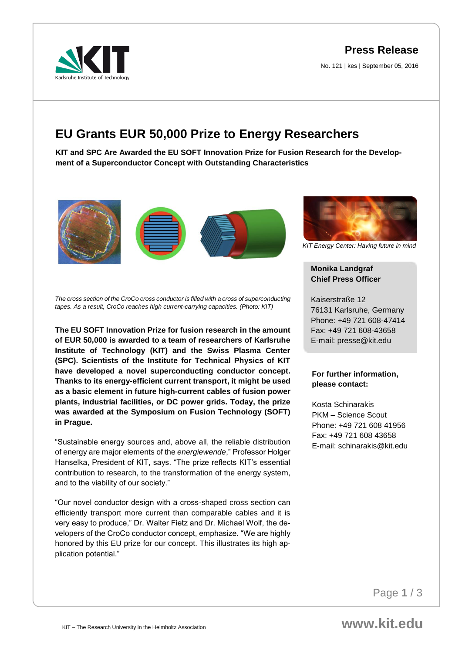**Press Release**

No. 121 | kes | September 05, 2016



# **EU Grants EUR 50,000 Prize to Energy Researchers**

**KIT and SPC Are Awarded the EU SOFT Innovation Prize for Fusion Research for the Development of a Superconductor Concept with Outstanding Characteristics** 





*KIT Energy Center: Having future in mind*

# **Monika Landgraf Chief Press Officer**

Kaiserstraße 12 76131 Karlsruhe, Germany Phone: +49 721 608-47414 Fax: +49 721 608-43658 E-mail: presse@kit.edu

### **For further information, please contact:**

Kosta Schinarakis PKM – Science Scout Phone: +49 721 608 41956 Fax: +49 721 608 43658 E-mail: schinarakis@kit.edu

*The cross section of the CroCo cross conductor is filled with a cross of superconducting tapes. As a result, CroCo reaches high current-carrying capacities. (Photo: KIT)*

**The EU SOFT Innovation Prize for fusion research in the amount of EUR 50,000 is awarded to a team of researchers of Karlsruhe Institute of Technology (KIT) and the Swiss Plasma Center (SPC). Scientists of the Institute for Technical Physics of KIT have developed a novel superconducting conductor concept. Thanks to its energy-efficient current transport, it might be used as a basic element in future high-current cables of fusion power plants, industrial facilities, or DC power grids. Today, the prize was awarded at the Symposium on Fusion Technology (SOFT) in Prague.** 

"Sustainable energy sources and, above all, the reliable distribution of energy are major elements of the *energiewende*," Professor Holger Hanselka, President of KIT, says. "The prize reflects KIT's essential contribution to research, to the transformation of the energy system, and to the viability of our society."

"Our novel conductor design with a cross-shaped cross section can efficiently transport more current than comparable cables and it is very easy to produce," Dr. Walter Fietz and Dr. Michael Wolf, the developers of the CroCo conductor concept, emphasize. "We are highly honored by this EU prize for our concept. This illustrates its high application potential."

Page **1** / 3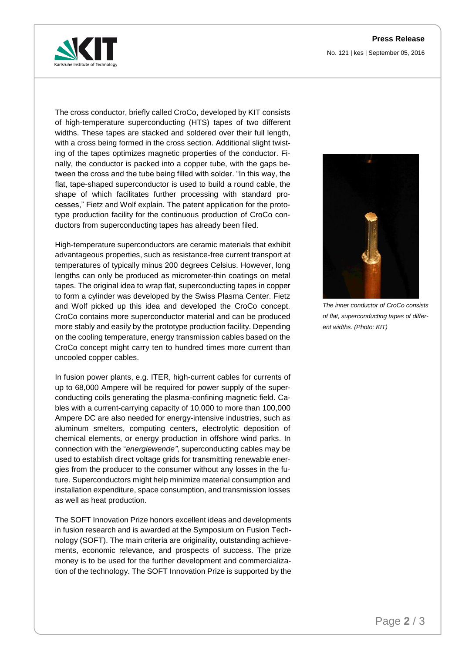## **Press Release**

No. 121 | kes | September 05, 2016



The cross conductor, briefly called CroCo, developed by KIT consists of high-temperature superconducting (HTS) tapes of two different widths. These tapes are stacked and soldered over their full length, with a cross being formed in the cross section. Additional slight twisting of the tapes optimizes magnetic properties of the conductor. Finally, the conductor is packed into a copper tube, with the gaps between the cross and the tube being filled with solder. "In this way, the flat, tape-shaped superconductor is used to build a round cable, the shape of which facilitates further processing with standard processes," Fietz and Wolf explain. The patent application for the prototype production facility for the continuous production of CroCo conductors from superconducting tapes has already been filed.

High-temperature superconductors are ceramic materials that exhibit advantageous properties, such as resistance-free current transport at temperatures of typically minus 200 degrees Celsius. However, long lengths can only be produced as micrometer-thin coatings on metal tapes. The original idea to wrap flat, superconducting tapes in copper to form a cylinder was developed by the Swiss Plasma Center. Fietz and Wolf picked up this idea and developed the CroCo concept. CroCo contains more superconductor material and can be produced more stably and easily by the prototype production facility. Depending on the cooling temperature, energy transmission cables based on the CroCo concept might carry ten to hundred times more current than uncooled copper cables.

In fusion power plants, e.g. ITER, high-current cables for currents of up to 68,000 Ampere will be required for power supply of the superconducting coils generating the plasma-confining magnetic field. Cables with a current-carrying capacity of 10,000 to more than 100,000 Ampere DC are also needed for energy-intensive industries, such as aluminum smelters, computing centers, electrolytic deposition of chemical elements, or energy production in offshore wind parks. In connection with the "*energiewende"*, superconducting cables may be used to establish direct voltage grids for transmitting renewable energies from the producer to the consumer without any losses in the future. Superconductors might help minimize material consumption and installation expenditure, space consumption, and transmission losses as well as heat production.

The SOFT Innovation Prize honors excellent ideas and developments in fusion research and is awarded at the Symposium on Fusion Technology (SOFT). The main criteria are originality, outstanding achievements, economic relevance, and prospects of success. The prize money is to be used for the further development and commercialization of the technology. The SOFT Innovation Prize is supported by the



*The inner conductor of CroCo consists of flat, superconducting tapes of different widths. (Photo: KIT)*